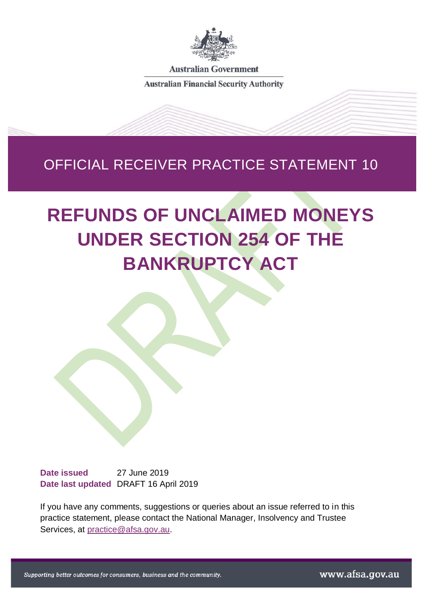

**Australian Government** 

**Australian Financial Security Authority** 

# OFFICIAL RECEIVER PRACTICE STATEMENT 10

# **REFUNDS OF UNCLAIMED MONEYS UNDER SECTION 254 OF THE BANKRUPTCY ACT**

**Date issued** 27 June 2019 **Date last updated** DRAFT 16 April 2019

If you have any comments, suggestions or queries about an issue referred to in this practice statement, please contact the National Manager, Insolvency and Trustee Services, at [practice@afsa.gov.au.](mailto:practice@afsa.gov.au?subject=ORPS10%20–%20Refunds%20of%20unclaimed%20moneys%20under%20section%20254%20of%20the%20Bankruptcy%20Act)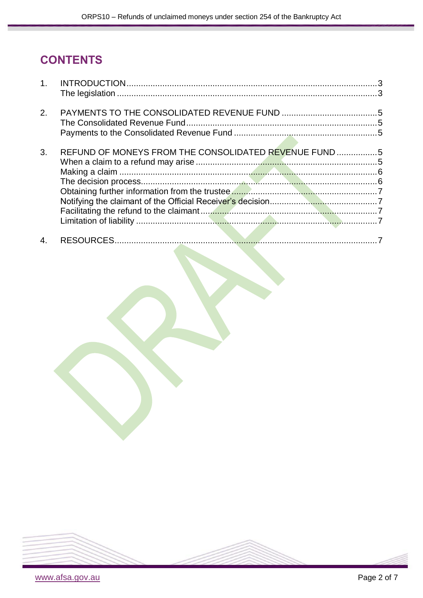# **CONTENTS**

| 2. |                                                       |  |
|----|-------------------------------------------------------|--|
|    |                                                       |  |
|    |                                                       |  |
|    |                                                       |  |
| 3. | REFUND OF MONEYS FROM THE CONSOLIDATED REVENUE FUND 5 |  |
|    |                                                       |  |
|    |                                                       |  |
|    |                                                       |  |
|    |                                                       |  |
|    |                                                       |  |
|    |                                                       |  |
|    |                                                       |  |
|    |                                                       |  |
| 4. |                                                       |  |

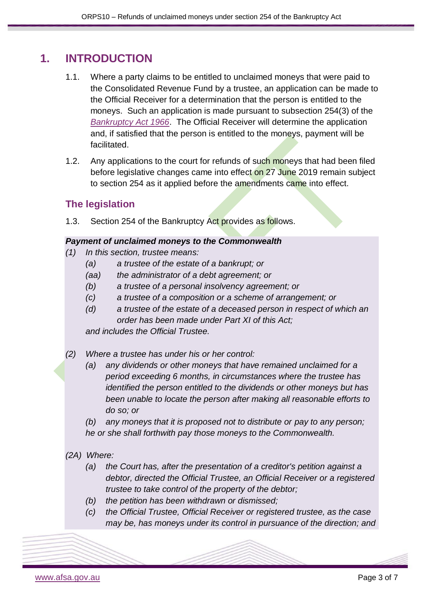### <span id="page-2-0"></span>**1. INTRODUCTION**

- 1.1. Where a party claims to be entitled to unclaimed moneys that were paid to the Consolidated Revenue Fund by a trustee, an application can be made to the Official Receiver for a determination that the person is entitled to the moneys. Such an application is made pursuant to subsection 254(3) of the *[Bankruptcy Act 1966](https://www.legislation.gov.au/Series/C1966A00033)*. The Official Receiver will determine the application and, if satisfied that the person is entitled to the moneys, payment will be facilitated.
- 1.2. Any applications to the court for refunds of such moneys that had been filed before legislative changes came into effect on 27 June 2019 remain subject to section 254 as it applied before the amendments came into effect.

### <span id="page-2-1"></span>**The legislation**

1.3. Section 254 of the Bankruptcy Act provides as follows.

#### *Payment of unclaimed moneys to the Commonwealth*

- *(1) In this section, trustee means:*
	- *(a) a trustee of the estate of a bankrupt; or*
	- *(aa) the administrator of a debt agreement; or*
	- *(b) a trustee of a personal insolvency agreement; or*
	- *(c) a trustee of a composition or a scheme of arrangement; or*
	- *(d) a trustee of the estate of a deceased person in respect of which an order has been made under Part XI of this Act; and includes the Official Trustee.*
- *(2) Where a trustee has under his or her control:*
	- *(a) any dividends or other moneys that have remained unclaimed for a period exceeding 6 months, in circumstances where the trustee has identified the person entitled to the dividends or other moneys but has been unable to locate the person after making all reasonable efforts to do so; or*

*(b) any moneys that it is proposed not to distribute or pay to any person; he or she shall forthwith pay those moneys to the Commonwealth.*

- *(2A) Where:*
	- *(a) the Court has, after the presentation of a creditor's petition against a debtor, directed the Official Trustee, an Official Receiver or a registered trustee to take control of the property of the debtor;*
	- *(b) the petition has been withdrawn or dismissed;*
	- *(c) the Official Trustee, Official Receiver or registered trustee, as the case may be, has moneys under its control in pursuance of the direction; and*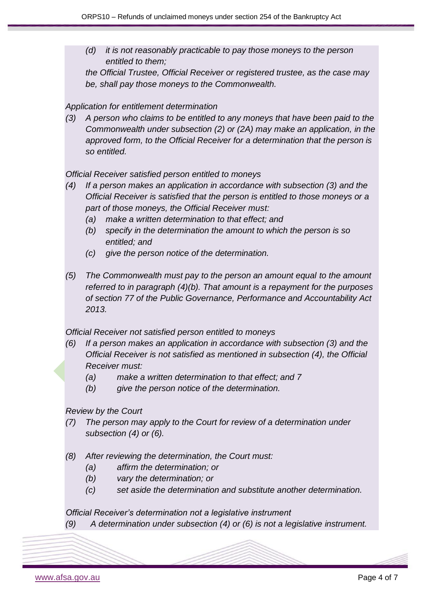*(d) it is not reasonably practicable to pay those moneys to the person entitled to them;*

*the Official Trustee, Official Receiver or registered trustee, as the case may be, shall pay those moneys to the Commonwealth.*

#### *Application for entitlement determination*

*(3) A person who claims to be entitled to any moneys that have been paid to the Commonwealth under subsection (2) or (2A) may make an application, in the approved form, to the Official Receiver for a determination that the person is so entitled.*

*Official Receiver satisfied person entitled to moneys*

- *(4) If a person makes an application in accordance with subsection (3) and the Official Receiver is satisfied that the person is entitled to those moneys or a part of those moneys, the Official Receiver must:* 
	- *(a) make a written determination to that effect; and*
	- *(b) specify in the determination the amount to which the person is so entitled; and*
	- *(c) give the person notice of the determination.*
- *(5) The Commonwealth must pay to the person an amount equal to the amount referred to in paragraph (4)(b). That amount is a repayment for the purposes of section 77 of the Public Governance, Performance and Accountability Act 2013.*

*Official Receiver not satisfied person entitled to moneys*

- *(6) If a person makes an application in accordance with subsection (3) and the Official Receiver is not satisfied as mentioned in subsection (4), the Official Receiver must:* 
	- *(a) make a written determination to that effect; and 7*
	- *(b) give the person notice of the determination.*

*Review by the Court* 

- *(7) The person may apply to the Court for review of a determination under subsection (4) or (6).*
- *(8) After reviewing the determination, the Court must:*
	- *(a) affirm the determination; or*
	- *(b) vary the determination; or*
	- *(c) set aside the determination and substitute another determination.*

*Official Receiver's determination not a legislative instrument*

*(9) A determination under subsection (4) or (6) is not a legislative instrument.*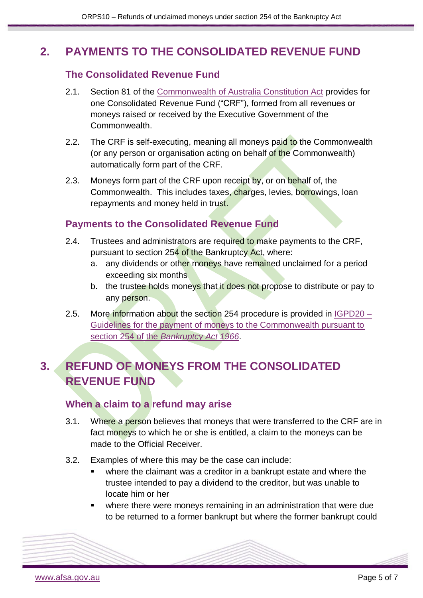### <span id="page-4-1"></span><span id="page-4-0"></span>**2. PAYMENTS TO THE CONSOLIDATED REVENUE FUND**

### **The Consolidated Revenue Fund**

- 2.1. Section 81 of the [Commonwealth of Australia Constitution Act](https://www.legislation.gov.au/Details/C2013Q00005) provides for one Consolidated Revenue Fund ("CRF"), formed from all revenues or moneys raised or received by the Executive Government of the Commonwealth.
- 2.2. The CRF is self-executing, meaning all moneys paid to the Commonwealth (or any person or organisation acting on behalf of the Commonwealth) automatically form part of the CRF.
- 2.3. Moneys form part of the CRF upon receipt by, or on behalf of, the Commonwealth. This includes taxes, charges, levies, borrowings, loan repayments and money held in trust.

### <span id="page-4-2"></span>**Payments to the Consolidated Revenue Fund**

- 2.4. Trustees and administrators are required to make payments to the CRF, pursuant to section 254 of the Bankruptcy Act, where:
	- a. any dividends or other moneys have remained unclaimed for a period exceeding six months
	- b. the trustee holds moneys that it does not propose to distribute or pay to any person.
- 2.5. More information about the section 254 procedure is provided in  $IGPD20 -$ [Guidelines for the payment of moneys to the Commonwealth pursuant to](https://www.afsa.gov.au/about-us/practices/inspector-general-practice-directions/inspector-general-practice-direction-20)  section 254 of the *[Bankruptcy Act 1966](https://www.afsa.gov.au/about-us/practices/inspector-general-practice-directions/inspector-general-practice-direction-20)*.

# <span id="page-4-3"></span>**3. REFUND OF MONEYS FROM THE CONSOLIDATED REVENUE FUND**

### <span id="page-4-4"></span>**When a claim to a refund may arise**

- 3.1. Where a person believes that moneys that were transferred to the CRF are in fact moneys to which he or she is entitled, a claim to the moneys can be made to the Official Receiver
- 3.2. Examples of where this may be the case can include:
	- where the claimant was a creditor in a bankrupt estate and where the trustee intended to pay a dividend to the creditor, but was unable to locate him or her
	- where there were moneys remaining in an administration that were due to be returned to a former bankrupt but where the former bankrupt could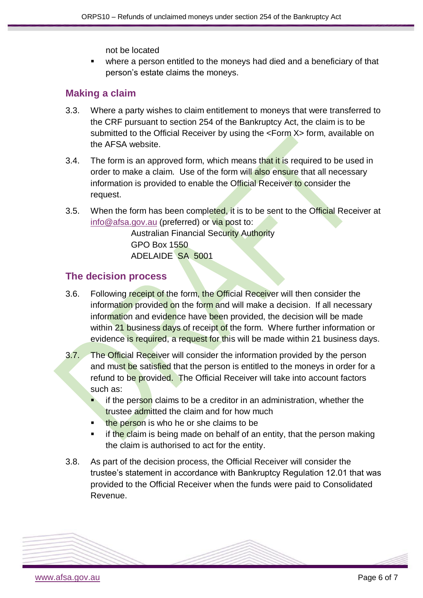not be located

 where a person entitled to the moneys had died and a beneficiary of that person's estate claims the moneys.

### <span id="page-5-0"></span>**Making a claim**

- 3.3. Where a party wishes to claim entitlement to moneys that were transferred to the CRF pursuant to section 254 of the Bankruptcy Act, the claim is to be submitted to the Official Receiver by using the <Form X> form, available on the AFSA website.
- 3.4. The form is an approved form, which means that it is required to be used in order to make a claim. Use of the form will also ensure that all necessary information is provided to enable the Official Receiver to consider the request.
- 3.5. When the form has been completed, it is to be sent to the Official Receiver at info@afsa.gov.au (preferred) or via post to:

Australian Financial Security Authority GPO Box 1550 ADELAIDE SA 5001

#### <span id="page-5-1"></span>**The decision process**

- 3.6. Following receipt of the form, the Official Receiver will then consider the information provided on the form and will make a decision. If all necessary information and evidence have been provided, the decision will be made within 21 business days of receipt of the form. Where further information or evidence is required, a request for this will be made within 21 business days.
- 3.7. The Official Receiver will consider the information provided by the person and must be satisfied that the person is entitled to the moneys in order for a refund to be provided. The Official Receiver will take into account factors such as:
	- if the person claims to be a creditor in an administration, whether the trustee admitted the claim and for how much
	- the person is who he or she claims to be
	- if the claim is being made on behalf of an entity, that the person making the claim is authorised to act for the entity.
- 3.8. As part of the decision process, the Official Receiver will consider the trustee's statement in accordance with Bankruptcy Regulation 12.01 that was provided to the Official Receiver when the funds were paid to Consolidated Revenue.